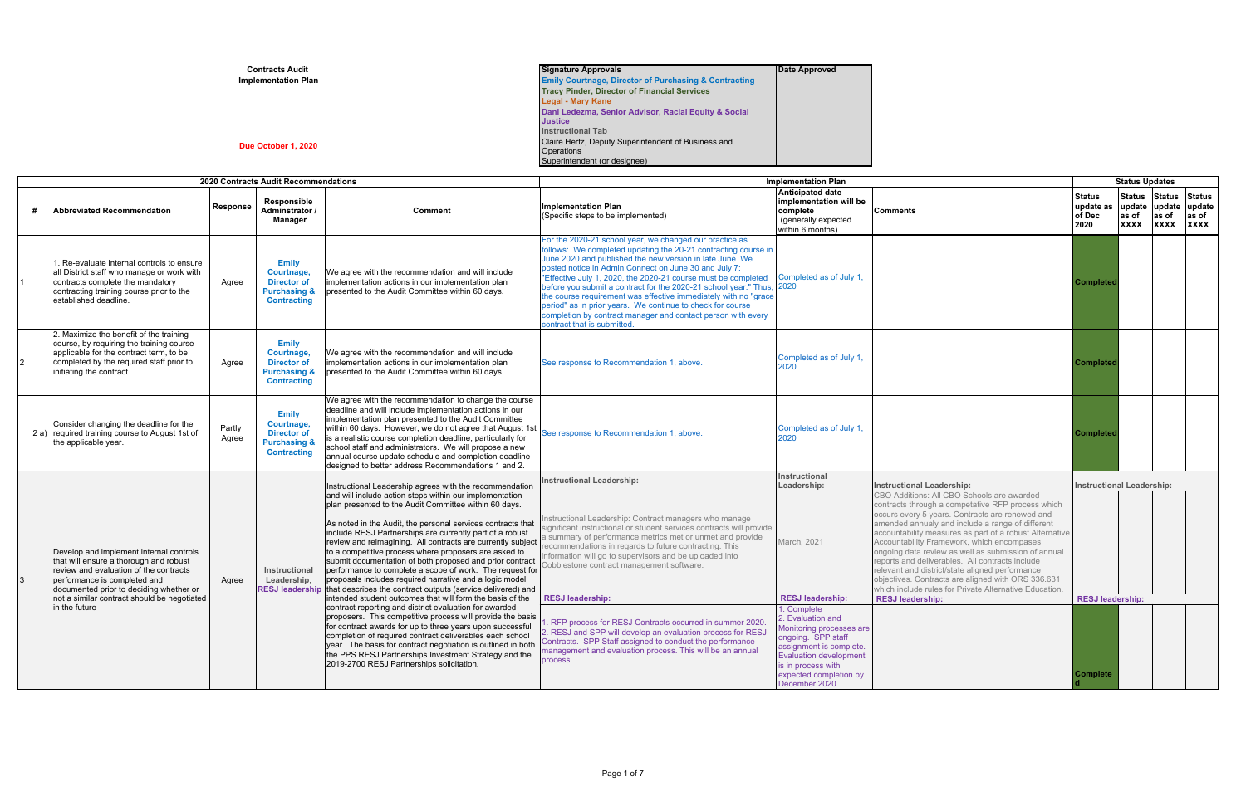| <b>Contracts Audit</b>     | <b>Signature Approvals</b>                                       | Date Approved |
|----------------------------|------------------------------------------------------------------|---------------|
| <b>Implementation Plan</b> | <b>Emily Courtnage, Director of Purchasing &amp; Contracting</b> |               |
|                            | <b>Tracy Pinder, Director of Financial Services</b>              |               |
|                            | <b>Legal - Mary Kane</b>                                         |               |
|                            | Dani Ledezma, Senior Advisor, Racial Equity & Social             |               |
|                            | <b>Justice</b>                                                   |               |
|                            | <b>Instructional Tab</b>                                         |               |
| Due October 1, 2020        | Claire Hertz, Deputy Superintendent of Business and              |               |
|                            | <b>Operations</b>                                                |               |
|                            | Superintendent (or designee)                                     |               |

|               |                                                                                                                                                                                                        |                 | 2020 Contracts Audit Recommendations                                                              |                                                                                                                                                                                                                                                                                                                                                                                                                                                                               | <b>Implementation Plan</b>                                                                                                                                                                                                                                                                                                                                                                                                                                                                                                                                                                                          |                                                                                                                                                                                                                |                                  | <b>Status Updates</b>                        |                                       |                                |                                                  |  |                              |                                                                                                                                                                                                                                                                                                                                                                                                                                                                                                                                                                                                                                       |                                                                                                                                                                                                                                                                                                                                                             |             |                                                                                                                                                                                                                                                                                                                                                                                                                                                                                                                                                                                              |  |  |  |  |
|---------------|--------------------------------------------------------------------------------------------------------------------------------------------------------------------------------------------------------|-----------------|---------------------------------------------------------------------------------------------------|-------------------------------------------------------------------------------------------------------------------------------------------------------------------------------------------------------------------------------------------------------------------------------------------------------------------------------------------------------------------------------------------------------------------------------------------------------------------------------|---------------------------------------------------------------------------------------------------------------------------------------------------------------------------------------------------------------------------------------------------------------------------------------------------------------------------------------------------------------------------------------------------------------------------------------------------------------------------------------------------------------------------------------------------------------------------------------------------------------------|----------------------------------------------------------------------------------------------------------------------------------------------------------------------------------------------------------------|----------------------------------|----------------------------------------------|---------------------------------------|--------------------------------|--------------------------------------------------|--|------------------------------|---------------------------------------------------------------------------------------------------------------------------------------------------------------------------------------------------------------------------------------------------------------------------------------------------------------------------------------------------------------------------------------------------------------------------------------------------------------------------------------------------------------------------------------------------------------------------------------------------------------------------------------|-------------------------------------------------------------------------------------------------------------------------------------------------------------------------------------------------------------------------------------------------------------------------------------------------------------------------------------------------------------|-------------|----------------------------------------------------------------------------------------------------------------------------------------------------------------------------------------------------------------------------------------------------------------------------------------------------------------------------------------------------------------------------------------------------------------------------------------------------------------------------------------------------------------------------------------------------------------------------------------------|--|--|--|--|
|               | <b>Abbreviated Recommendation</b>                                                                                                                                                                      | Response        | Responsible<br>Adminstrator /<br>Manager                                                          | Comment                                                                                                                                                                                                                                                                                                                                                                                                                                                                       | <b>Implementation Plan</b><br>(Specific steps to be implemented)                                                                                                                                                                                                                                                                                                                                                                                                                                                                                                                                                    | <b>Anticipated date</b><br>implementation will be<br>complete<br>(generally expected<br>within 6 months)                                                                                                       | <b>Comments</b>                  | <b>Status</b><br>update as<br>of Dec<br>2020 | <b>Status</b><br>as of<br><b>XXXX</b> | Status Status<br>as of<br>XXXX | update update update<br>$ $ as of<br><b>XXXX</b> |  |                              |                                                                                                                                                                                                                                                                                                                                                                                                                                                                                                                                                                                                                                       |                                                                                                                                                                                                                                                                                                                                                             |             |                                                                                                                                                                                                                                                                                                                                                                                                                                                                                                                                                                                              |  |  |  |  |
|               | . Re-evaluate internal controls to ensure<br>all District staff who manage or work with<br>contracts complete the mandatory<br>contracting training course prior to the<br>established deadline.       | Agree           | <b>Emily</b><br>Courtnage,<br><b>Director of</b><br><b>Purchasing &amp;</b><br><b>Contracting</b> | We agree with the recommendation and will include<br>implementation actions in our implementation plan<br>presented to the Audit Committee within 60 days.                                                                                                                                                                                                                                                                                                                    | For the 2020-21 school year, we changed our practice as<br>follows: We completed updating the 20-21 contracting course in<br>June 2020 and published the new version in late June. We<br>posted notice in Admin Connect on June 30 and July 7:<br>"Effective July 1, 2020, the 2020-21 course must be completed<br>before you submit a contract for the 2020-21 school year." Thus,<br>the course requirement was effective immediately with no "grace<br>period" as in prior years. We continue to check for course<br>completion by contract manager and contact person with every<br>contract that is submitted. | Completed as of July 1.<br>2020                                                                                                                                                                                |                                  | <b>Complete</b>                              |                                       |                                |                                                  |  |                              |                                                                                                                                                                                                                                                                                                                                                                                                                                                                                                                                                                                                                                       |                                                                                                                                                                                                                                                                                                                                                             |             |                                                                                                                                                                                                                                                                                                                                                                                                                                                                                                                                                                                              |  |  |  |  |
| $\mathcal{P}$ | 2. Maximize the benefit of the training<br>course, by requiring the training course<br>applicable for the contract term, to be<br>completed by the required staff prior to<br>initiating the contract. | Agree           | <b>Emily</b><br>Courtnage,<br><b>Director of</b><br><b>Purchasing &amp;</b><br><b>Contracting</b> | We agree with the recommendation and will include<br>implementation actions in our implementation plan<br>presented to the Audit Committee within 60 days.                                                                                                                                                                                                                                                                                                                    | See response to Recommendation 1, above.                                                                                                                                                                                                                                                                                                                                                                                                                                                                                                                                                                            | Completed as of July 1<br>2020                                                                                                                                                                                 |                                  | <b>Complete</b>                              |                                       |                                |                                                  |  |                              |                                                                                                                                                                                                                                                                                                                                                                                                                                                                                                                                                                                                                                       |                                                                                                                                                                                                                                                                                                                                                             |             |                                                                                                                                                                                                                                                                                                                                                                                                                                                                                                                                                                                              |  |  |  |  |
|               | Consider changing the deadline for the<br>2 a) required training course to August 1st of<br>the applicable year.                                                                                       | Partly<br>Agree | <b>Emily</b><br>Courtnage,<br><b>Director of</b><br><b>Purchasing &amp;</b><br><b>Contracting</b> | We agree with the recommendation to change the course<br>deadline and will include implementation actions in our<br>implementation plan presented to the Audit Committee<br>within 60 days. However, we do not agree that August 1st<br>is a realistic course completion deadline, particularly for<br>school staff and administrators. We will propose a new<br>annual course update schedule and completion deadline<br>designed to better address Recommendations 1 and 2. | See response to Recommendation 1, above.                                                                                                                                                                                                                                                                                                                                                                                                                                                                                                                                                                            | Completed as of July 1,<br>2020                                                                                                                                                                                |                                  | <b>Complete</b>                              |                                       |                                |                                                  |  |                              |                                                                                                                                                                                                                                                                                                                                                                                                                                                                                                                                                                                                                                       |                                                                                                                                                                                                                                                                                                                                                             |             |                                                                                                                                                                                                                                                                                                                                                                                                                                                                                                                                                                                              |  |  |  |  |
|               |                                                                                                                                                                                                        |                 |                                                                                                   | Instructional Leadership agrees with the recommendation                                                                                                                                                                                                                                                                                                                                                                                                                       | <b>Instructional Leadership:</b>                                                                                                                                                                                                                                                                                                                                                                                                                                                                                                                                                                                    | Instructional<br>Leadership:                                                                                                                                                                                   | <b>Instructional Leadership:</b> | <b>Instructional Leadership:</b>             |                                       |                                |                                                  |  |                              |                                                                                                                                                                                                                                                                                                                                                                                                                                                                                                                                                                                                                                       |                                                                                                                                                                                                                                                                                                                                                             |             |                                                                                                                                                                                                                                                                                                                                                                                                                                                                                                                                                                                              |  |  |  |  |
| 3             | Develop and implement internal controls<br>that will ensure a thorough and robust<br>review and evaluation of the contracts<br>performance is completed and<br>documented prior to deciding whether or | Agree           |                                                                                                   |                                                                                                                                                                                                                                                                                                                                                                                                                                                                               |                                                                                                                                                                                                                                                                                                                                                                                                                                                                                                                                                                                                                     |                                                                                                                                                                                                                |                                  |                                              |                                       |                                |                                                  |  | Instructional<br>Leadership. | and will include action steps within our implementation<br>plan presented to the Audit Committee within 60 days.<br>As noted in the Audit, the personal services contracts that<br>include RESJ Partnerships are currently part of a robust<br>review and reimagining. All contracts are currently subject<br>to a competitive process where proposers are asked to<br>submit documentation of both proposed and prior contract<br>performance to complete a scope of work. The request for<br>proposals includes required narrative and a logic model<br>RESJ leadership that describes the contract outputs (service delivered) and | nstructional Leadership: Contract managers who manage<br>significant instructional or student services contracts will provide<br>a summary of performance metrics met or unmet and provide<br>recommendations in regards to future contracting. This<br>nformation will go to supervisors and be uploaded into<br>Cobblestone contract management software. | March. 2021 | CBO Additions: All CBO Schools are awarded<br>contracts through a competative RFP process which<br>occurs every 5 years. Contracts are renewed and<br>amended annualy and include a range of different<br>accountability measures as part of a robust Alternative<br>Accountability Framework, which encompases<br>ongoing data review as well as submission of annual<br>reports and deliverables. All contracts include<br>relevant and district/state aligned performance<br>objectives. Contracts are aligned with ORS 336.631<br>which include rules for Private Alternative Education. |  |  |  |  |
|               | not a similar contract should be negotiated                                                                                                                                                            |                 |                                                                                                   | intended student outcomes that will form the basis of the                                                                                                                                                                                                                                                                                                                                                                                                                     | <b>RESJ leadership:</b>                                                                                                                                                                                                                                                                                                                                                                                                                                                                                                                                                                                             | <b>RESJ leadership:</b>                                                                                                                                                                                        | <b>RESJ leadership:</b>          | <b>RESJ leadership:</b>                      |                                       |                                |                                                  |  |                              |                                                                                                                                                                                                                                                                                                                                                                                                                                                                                                                                                                                                                                       |                                                                                                                                                                                                                                                                                                                                                             |             |                                                                                                                                                                                                                                                                                                                                                                                                                                                                                                                                                                                              |  |  |  |  |
|               | in the future                                                                                                                                                                                          |                 |                                                                                                   | contract reporting and district evaluation for awarded<br>proposers. This competitive process will provide the basis<br>for contract awards for up to three years upon successful<br>completion of required contract deliverables each school<br>year. The basis for contract negotiation is outlined in both<br>the PPS RESJ Partnerships Investment Strategy and the<br>2019-2700 RESJ Partnerships solicitation.                                                           | . RFP process for RESJ Contracts occurred in summer 2020.<br>2. RESJ and SPP will develop an evaluation process for RESJ<br>Contracts. SPP Staff assigned to conduct the performance<br>management and evaluation process. This will be an annual<br>process.                                                                                                                                                                                                                                                                                                                                                       | 1. Complete<br>2. Evaluation and<br>Monitoring processes are<br>ongoing. SPP staff<br>assignment is complete<br><b>Evaluation development</b><br>is in process with<br>expected completion by<br>December 2020 |                                  | <b>Complete</b>                              |                                       |                                |                                                  |  |                              |                                                                                                                                                                                                                                                                                                                                                                                                                                                                                                                                                                                                                                       |                                                                                                                                                                                                                                                                                                                                                             |             |                                                                                                                                                                                                                                                                                                                                                                                                                                                                                                                                                                                              |  |  |  |  |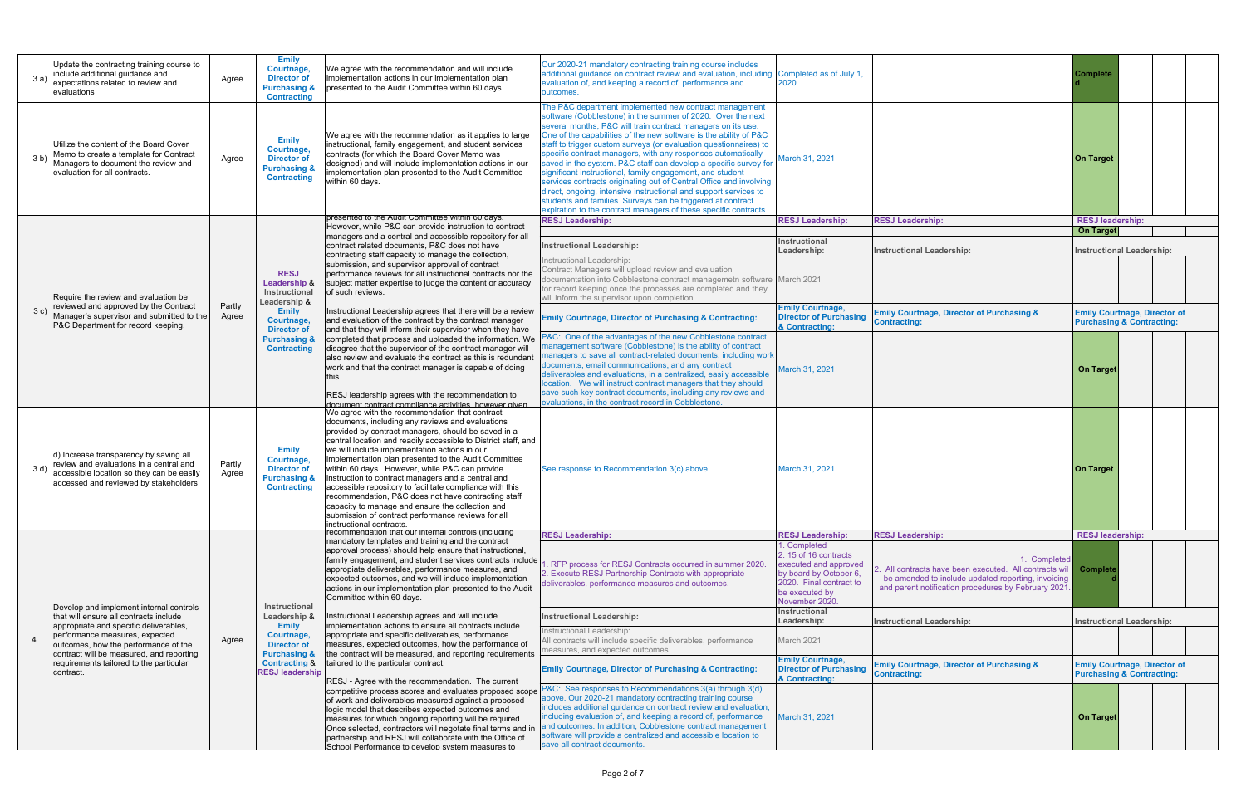| 3 a)                                                                                                                                                                            | Update the contracting training course to<br>include additional guidance and<br>expectations related to review and<br>evaluations                        | Agree           | <b>Emily</b><br>Courtnage,<br><b>Director of</b><br><b>Purchasing &amp;</b><br><b>Contracting</b> | We agree with the recommendation and will include<br>implementation actions in our implementation plan<br>presented to the Audit Committee within 60 days.                                                                                                                                                                                                                                                                                                                                                                                                                                                                                                                | Our 2020-21 mandatory contracting training course includes<br>additional guidance on contract review and evaluation, including<br>evaluation of, and keeping a record of, performance and<br>outcomes.                                                                                                                                                                                                                                                                                                                                                                                                                                                                                                                                                                                                        | Completed as of July 1                                                                                                                                                                                                                                                                            |                                                                                                                                                                         | <b>Complete</b>                                                                                                      |                                                                                                                                                                                   |                                      |  |  |
|---------------------------------------------------------------------------------------------------------------------------------------------------------------------------------|----------------------------------------------------------------------------------------------------------------------------------------------------------|-----------------|---------------------------------------------------------------------------------------------------|---------------------------------------------------------------------------------------------------------------------------------------------------------------------------------------------------------------------------------------------------------------------------------------------------------------------------------------------------------------------------------------------------------------------------------------------------------------------------------------------------------------------------------------------------------------------------------------------------------------------------------------------------------------------------|---------------------------------------------------------------------------------------------------------------------------------------------------------------------------------------------------------------------------------------------------------------------------------------------------------------------------------------------------------------------------------------------------------------------------------------------------------------------------------------------------------------------------------------------------------------------------------------------------------------------------------------------------------------------------------------------------------------------------------------------------------------------------------------------------------------|---------------------------------------------------------------------------------------------------------------------------------------------------------------------------------------------------------------------------------------------------------------------------------------------------|-------------------------------------------------------------------------------------------------------------------------------------------------------------------------|----------------------------------------------------------------------------------------------------------------------|-----------------------------------------------------------------------------------------------------------------------------------------------------------------------------------|--------------------------------------|--|--|
| 3 <sub>b</sub>                                                                                                                                                                  | Utilize the content of the Board Cover<br>Memo to create a template for Contract<br>Managers to document the review and<br>evaluation for all contracts. | Agree           | <b>Emily</b><br>Courtnage,<br><b>Director of</b><br><b>Purchasing &amp;</b><br><b>Contracting</b> | We agree with the recommendation as it applies to large<br>instructional, family engagement, and student services<br>contracts (for which the Board Cover Memo was<br>designed) and will include implementation actions in our<br>implementation plan presented to the Audit Committee<br>within 60 days.                                                                                                                                                                                                                                                                                                                                                                 | The P&C department implemented new contract management<br>software (Cobblestone) in the summer of 2020. Over the next<br>several months, P&C will train contract managers on its use.<br>One of the capabilities of the new software is the ability of P&C<br>staff to trigger custom surveys (or evaluation questionnaires) to<br>specific contract managers, with any responses automatically<br>saved in the system. P&C staff can develop a specific survey for<br>significant instructional, family engagement, and student<br>services contracts originating out of Central Office and involving<br>direct, ongoing, intensive instructional and support services to<br>students and families. Surveys can be triggered at contract<br>expiration to the contract managers of these specific contracts. | March 31, 2021                                                                                                                                                                                                                                                                                    |                                                                                                                                                                         | On Target                                                                                                            |                                                                                                                                                                                   |                                      |  |  |
|                                                                                                                                                                                 |                                                                                                                                                          |                 |                                                                                                   | presented to the Audit Committee within 60 days.                                                                                                                                                                                                                                                                                                                                                                                                                                                                                                                                                                                                                          | <b>RESJ Leadership:</b>                                                                                                                                                                                                                                                                                                                                                                                                                                                                                                                                                                                                                                                                                                                                                                                       | <b>RESJ Leadership:</b>                                                                                                                                                                                                                                                                           | <b>RESJ Leadership:</b>                                                                                                                                                 | <b>RESJ leadership:</b>                                                                                              |                                                                                                                                                                                   |                                      |  |  |
|                                                                                                                                                                                 |                                                                                                                                                          |                 |                                                                                                   | However, while P&C can provide instruction to contract                                                                                                                                                                                                                                                                                                                                                                                                                                                                                                                                                                                                                    |                                                                                                                                                                                                                                                                                                                                                                                                                                                                                                                                                                                                                                                                                                                                                                                                               |                                                                                                                                                                                                                                                                                                   |                                                                                                                                                                         | <b>On Target</b>                                                                                                     |                                                                                                                                                                                   |                                      |  |  |
|                                                                                                                                                                                 |                                                                                                                                                          |                 |                                                                                                   | managers and a central and accessible repository for all<br>contract related documents, P&C does not have                                                                                                                                                                                                                                                                                                                                                                                                                                                                                                                                                                 | <b>Instructional Leadership:</b>                                                                                                                                                                                                                                                                                                                                                                                                                                                                                                                                                                                                                                                                                                                                                                              | Instructional                                                                                                                                                                                                                                                                                     |                                                                                                                                                                         |                                                                                                                      |                                                                                                                                                                                   |                                      |  |  |
|                                                                                                                                                                                 |                                                                                                                                                          |                 |                                                                                                   | contracting staff capacity to manage the collection,                                                                                                                                                                                                                                                                                                                                                                                                                                                                                                                                                                                                                      |                                                                                                                                                                                                                                                                                                                                                                                                                                                                                                                                                                                                                                                                                                                                                                                                               | Leadership:                                                                                                                                                                                                                                                                                       | <b>Instructional Leadership:</b>                                                                                                                                        | <b>Instructional Leadership:</b>                                                                                     |                                                                                                                                                                                   |                                      |  |  |
|                                                                                                                                                                                 |                                                                                                                                                          |                 |                                                                                                   | submission, and supervisor approval of contract                                                                                                                                                                                                                                                                                                                                                                                                                                                                                                                                                                                                                           | Instructional Leadership:                                                                                                                                                                                                                                                                                                                                                                                                                                                                                                                                                                                                                                                                                                                                                                                     |                                                                                                                                                                                                                                                                                                   |                                                                                                                                                                         |                                                                                                                      |                                                                                                                                                                                   |                                      |  |  |
|                                                                                                                                                                                 |                                                                                                                                                          |                 | <b>RESJ</b>                                                                                       | performance reviews for all instructional contracts nor the                                                                                                                                                                                                                                                                                                                                                                                                                                                                                                                                                                                                               | Contract Managers will upload review and evaluation                                                                                                                                                                                                                                                                                                                                                                                                                                                                                                                                                                                                                                                                                                                                                           |                                                                                                                                                                                                                                                                                                   |                                                                                                                                                                         |                                                                                                                      |                                                                                                                                                                                   |                                      |  |  |
|                                                                                                                                                                                 |                                                                                                                                                          |                 | <b>Leadership &amp;</b>                                                                           | subject matter expertise to judge the content or accuracy                                                                                                                                                                                                                                                                                                                                                                                                                                                                                                                                                                                                                 | documentation into Cobblestone contract managemetn software<br>for record keeping once the processes are completed and they                                                                                                                                                                                                                                                                                                                                                                                                                                                                                                                                                                                                                                                                                   | March 2021                                                                                                                                                                                                                                                                                        |                                                                                                                                                                         |                                                                                                                      |                                                                                                                                                                                   |                                      |  |  |
|                                                                                                                                                                                 | Require the review and evaluation be                                                                                                                     |                 | Instructional                                                                                     |                                                                                                                                                                                                                                                                                                                                                                                                                                                                                                                                                                                                                                                                           | of such reviews.                                                                                                                                                                                                                                                                                                                                                                                                                                                                                                                                                                                                                                                                                                                                                                                              | will inform the supervisor upon completion.                                                                                                                                                                                                                                                       |                                                                                                                                                                         |                                                                                                                      |                                                                                                                                                                                   |                                      |  |  |
|                                                                                                                                                                                 | reviewed and approved by the Contract                                                                                                                    | Partly          | Leadership &                                                                                      |                                                                                                                                                                                                                                                                                                                                                                                                                                                                                                                                                                                                                                                                           |                                                                                                                                                                                                                                                                                                                                                                                                                                                                                                                                                                                                                                                                                                                                                                                                               | <b>Emily Courtnage,</b>                                                                                                                                                                                                                                                                           |                                                                                                                                                                         |                                                                                                                      |                                                                                                                                                                                   |                                      |  |  |
|                                                                                                                                                                                 | Manager's supervisor and submitted to the<br>P&C Department for record keeping                                                                           | Agree           | Courtnage,<br><b>Director of</b><br><b>Purchasing &amp;</b><br><b>Contracting</b>                 | <b>Emily</b>                                                                                                                                                                                                                                                                                                                                                                                                                                                                                                                                                                                                                                                              | Instructional Leadership agrees that there will be a review                                                                                                                                                                                                                                                                                                                                                                                                                                                                                                                                                                                                                                                                                                                                                   | <b>Emily Courtnage, Director of Purchasing &amp; Contracting:</b>                                                                                                                                                                                                                                 | <b>Director of Purchasing</b>                                                                                                                                           | <b>Emily Courtnage, Director of Purchasing &amp;</b>                                                                 | <b>Emily Courtnage, Director of</b>                                                                                                                                               |                                      |  |  |
|                                                                                                                                                                                 |                                                                                                                                                          |                 |                                                                                                   |                                                                                                                                                                                                                                                                                                                                                                                                                                                                                                                                                                                                                                                                           |                                                                                                                                                                                                                                                                                                                                                                                                                                                                                                                                                                                                                                                                                                                                                                                                               | and evaluation of the contract by the contract manager<br>and that they will inform their supervisor when they have                                                                                                                                                                               |                                                                                                                                                                         | & Contracting:                                                                                                       | <b>Contracting:</b>                                                                                                                                                               | <b>Purchasing &amp; Contracting:</b> |  |  |
|                                                                                                                                                                                 |                                                                                                                                                          |                 |                                                                                                   |                                                                                                                                                                                                                                                                                                                                                                                                                                                                                                                                                                                                                                                                           |                                                                                                                                                                                                                                                                                                                                                                                                                                                                                                                                                                                                                                                                                                                                                                                                               | completed that process and uploaded the information. We                                                                                                                                                                                                                                           | P&C: One of the advantages of the new Cobblestone contract                                                                                                              |                                                                                                                      |                                                                                                                                                                                   |                                      |  |  |
|                                                                                                                                                                                 |                                                                                                                                                          |                 |                                                                                                   |                                                                                                                                                                                                                                                                                                                                                                                                                                                                                                                                                                                                                                                                           |                                                                                                                                                                                                                                                                                                                                                                                                                                                                                                                                                                                                                                                                                                                                                                                                               | disagree that the supervisor of the contract manager will                                                                                                                                                                                                                                         | management software (Cobblestone) is the ability of contract                                                                                                            |                                                                                                                      |                                                                                                                                                                                   |                                      |  |  |
|                                                                                                                                                                                 |                                                                                                                                                          |                 |                                                                                                   | also review and evaluate the contract as this is redundant                                                                                                                                                                                                                                                                                                                                                                                                                                                                                                                                                                                                                | managers to save all contract-related documents, including work                                                                                                                                                                                                                                                                                                                                                                                                                                                                                                                                                                                                                                                                                                                                               |                                                                                                                                                                                                                                                                                                   |                                                                                                                                                                         |                                                                                                                      |                                                                                                                                                                                   |                                      |  |  |
|                                                                                                                                                                                 |                                                                                                                                                          |                 |                                                                                                   | work and that the contract manager is capable of doing                                                                                                                                                                                                                                                                                                                                                                                                                                                                                                                                                                                                                    | documents, email communications, and any contract<br>deliverables and evaluations, in a centralized, easily accessible                                                                                                                                                                                                                                                                                                                                                                                                                                                                                                                                                                                                                                                                                        | March 31, 2021                                                                                                                                                                                                                                                                                    |                                                                                                                                                                         | <b>On Target</b>                                                                                                     |                                                                                                                                                                                   |                                      |  |  |
|                                                                                                                                                                                 |                                                                                                                                                          |                 |                                                                                                   | this.                                                                                                                                                                                                                                                                                                                                                                                                                                                                                                                                                                                                                                                                     | location. We will instruct contract managers that they should                                                                                                                                                                                                                                                                                                                                                                                                                                                                                                                                                                                                                                                                                                                                                 |                                                                                                                                                                                                                                                                                                   |                                                                                                                                                                         |                                                                                                                      |                                                                                                                                                                                   |                                      |  |  |
|                                                                                                                                                                                 |                                                                                                                                                          |                 |                                                                                                   | RESJ leadership agrees with the recommendation to                                                                                                                                                                                                                                                                                                                                                                                                                                                                                                                                                                                                                         | save such key contract documents, including any reviews and                                                                                                                                                                                                                                                                                                                                                                                                                                                                                                                                                                                                                                                                                                                                                   |                                                                                                                                                                                                                                                                                                   |                                                                                                                                                                         |                                                                                                                      |                                                                                                                                                                                   |                                      |  |  |
|                                                                                                                                                                                 |                                                                                                                                                          |                 |                                                                                                   | document contract compliance activities however given                                                                                                                                                                                                                                                                                                                                                                                                                                                                                                                                                                                                                     | evaluations, in the contract record in Cobblestone.                                                                                                                                                                                                                                                                                                                                                                                                                                                                                                                                                                                                                                                                                                                                                           |                                                                                                                                                                                                                                                                                                   |                                                                                                                                                                         |                                                                                                                      |                                                                                                                                                                                   |                                      |  |  |
| d) Increase transparency by saving all<br>review and evaluations in a central and<br>3 d)<br>accessible location so they can be easily<br>accessed and reviewed by stakeholders |                                                                                                                                                          | Partly<br>Agree | <b>Emily</b><br>Courtnage,<br><b>Director of</b><br><b>Purchasing &amp;</b><br><b>Contracting</b> | We agree with the recommendation that contract<br>documents, including any reviews and evaluations<br>provided by contract managers, should be saved in a<br>central location and readily accessible to District staff, and<br>we will include implementation actions in our<br>implementation plan presented to the Audit Committee<br>within 60 days. However, while P&C can provide<br>instruction to contract managers and a central and<br>accessible repository to facilitate compliance with this<br>recommendation, P&C does not have contracting staff<br>capacity to manage and ensure the collection and<br>submission of contract performance reviews for all | See response to Recommendation 3(c) above.                                                                                                                                                                                                                                                                                                                                                                                                                                                                                                                                                                                                                                                                                                                                                                    | March 31, 2021                                                                                                                                                                                                                                                                                    |                                                                                                                                                                         | On Target                                                                                                            |                                                                                                                                                                                   |                                      |  |  |
|                                                                                                                                                                                 |                                                                                                                                                          |                 |                                                                                                   | instructional contracts.<br>recommendation that our internal controls (including                                                                                                                                                                                                                                                                                                                                                                                                                                                                                                                                                                                          |                                                                                                                                                                                                                                                                                                                                                                                                                                                                                                                                                                                                                                                                                                                                                                                                               |                                                                                                                                                                                                                                                                                                   |                                                                                                                                                                         |                                                                                                                      |                                                                                                                                                                                   |                                      |  |  |
|                                                                                                                                                                                 |                                                                                                                                                          |                 |                                                                                                   | mandatory templates and training and the contract                                                                                                                                                                                                                                                                                                                                                                                                                                                                                                                                                                                                                         | <b>RESJ Leadership:</b>                                                                                                                                                                                                                                                                                                                                                                                                                                                                                                                                                                                                                                                                                                                                                                                       | <b>RESJ Leadership:</b><br>1. Completed                                                                                                                                                                                                                                                           | <b>RESJ Leadership:</b>                                                                                                                                                 | <b>RESJ leadership:</b>                                                                                              |                                                                                                                                                                                   |                                      |  |  |
|                                                                                                                                                                                 |                                                                                                                                                          |                 |                                                                                                   |                                                                                                                                                                                                                                                                                                                                                                                                                                                                                                                                                                                                                                                                           |                                                                                                                                                                                                                                                                                                                                                                                                                                                                                                                                                                                                                                                                                                                                                                                                               | approval process) should help ensure that instructional,<br>family engagement, and student services contracts include<br>appropiate deliverables, performance measures, and<br>expected outcomes, and we will include implementation<br>actions in our implementation plan presented to the Audit | . RFP process for RESJ Contracts occurred in summer 2020.<br>2. Execute RESJ Partnership Contracts with appropriate<br>deliverables, performance measures and outcomes. | 2.15 of 16 contracts<br>executed and approved<br>by board by October 6,<br>2020. Final contract to<br>be executed by | 1. Completed<br>All contracts have been executed. All contracts wil<br>be amended to include updated reporting, invoicing<br>and parent notification procedures by February 2021. | Complet                              |  |  |
|                                                                                                                                                                                 |                                                                                                                                                          |                 |                                                                                                   | Committee within 60 days.                                                                                                                                                                                                                                                                                                                                                                                                                                                                                                                                                                                                                                                 |                                                                                                                                                                                                                                                                                                                                                                                                                                                                                                                                                                                                                                                                                                                                                                                                               | November 2020                                                                                                                                                                                                                                                                                     |                                                                                                                                                                         |                                                                                                                      |                                                                                                                                                                                   |                                      |  |  |
|                                                                                                                                                                                 | Develop and implement internal controls<br>that will ensure all contracts include<br>appropriate and specific deliverables,                              |                 | Instructional<br>Leadership &<br><b>Emily</b>                                                     | Instructional Leadership agrees and will include<br>implementation actions to ensure all contracts include                                                                                                                                                                                                                                                                                                                                                                                                                                                                                                                                                                | <b>Instructional Leadership:</b><br>Instructional Leadership:                                                                                                                                                                                                                                                                                                                                                                                                                                                                                                                                                                                                                                                                                                                                                 | Instructional<br>Leadership:                                                                                                                                                                                                                                                                      | <b>Instructional Leadership:</b>                                                                                                                                        | <b>Instructional Leadership:</b>                                                                                     |                                                                                                                                                                                   |                                      |  |  |
|                                                                                                                                                                                 | performance measures, expected<br>outcomes, how the performance of the<br>contract will be measured, and reporting                                       | Agree           | Courtnage,<br><b>Director of</b><br><b>Purchasing &amp;</b>                                       | appropriate and specific deliverables, performance<br>measures, expected outcomes, how the performance of<br>the contract will be measured, and reporting requirements                                                                                                                                                                                                                                                                                                                                                                                                                                                                                                    | All contracts will include specific deliverables, performance<br>measures, and expected outcomes.                                                                                                                                                                                                                                                                                                                                                                                                                                                                                                                                                                                                                                                                                                             | March 2021                                                                                                                                                                                                                                                                                        |                                                                                                                                                                         |                                                                                                                      |                                                                                                                                                                                   |                                      |  |  |
|                                                                                                                                                                                 | requirements tailored to the particular<br>contract.                                                                                                     |                 | <b>Contracting &amp;</b><br><b>RESJ leadership</b>                                                | tailored to the particular contract.<br>RESJ - Agree with the recommendation. The current                                                                                                                                                                                                                                                                                                                                                                                                                                                                                                                                                                                 | <b>Emily Courtnage, Director of Purchasing &amp; Contracting:</b>                                                                                                                                                                                                                                                                                                                                                                                                                                                                                                                                                                                                                                                                                                                                             | <b>Emily Courtnage,</b><br><b>Director of Purchasing</b><br>& Contracting:                                                                                                                                                                                                                        | <b>Emily Courtnage, Director of Purchasing &amp;</b><br><b>Contracting:</b>                                                                                             | <b>Emily Courtnage, Director of</b><br><b>Purchasing &amp; Contracting:</b>                                          |                                                                                                                                                                                   |                                      |  |  |
|                                                                                                                                                                                 |                                                                                                                                                          |                 |                                                                                                   |                                                                                                                                                                                                                                                                                                                                                                                                                                                                                                                                                                                                                                                                           | competitive process scores and evaluates proposed scope P&C: See responses to Recommendations 3(a) through 3(d)                                                                                                                                                                                                                                                                                                                                                                                                                                                                                                                                                                                                                                                                                               |                                                                                                                                                                                                                                                                                                   |                                                                                                                                                                         |                                                                                                                      |                                                                                                                                                                                   |                                      |  |  |
|                                                                                                                                                                                 |                                                                                                                                                          |                 |                                                                                                   | of work and deliverables measured against a proposed                                                                                                                                                                                                                                                                                                                                                                                                                                                                                                                                                                                                                      | above. Our 2020-21 mandatory contracting training course                                                                                                                                                                                                                                                                                                                                                                                                                                                                                                                                                                                                                                                                                                                                                      |                                                                                                                                                                                                                                                                                                   |                                                                                                                                                                         |                                                                                                                      |                                                                                                                                                                                   |                                      |  |  |
|                                                                                                                                                                                 |                                                                                                                                                          |                 |                                                                                                   | logic model that describes expected outcomes and                                                                                                                                                                                                                                                                                                                                                                                                                                                                                                                                                                                                                          | includes additional guidance on contract review and evaluation,<br>including evaluation of, and keeping a record of, performance                                                                                                                                                                                                                                                                                                                                                                                                                                                                                                                                                                                                                                                                              | March 31, 2021                                                                                                                                                                                                                                                                                    |                                                                                                                                                                         |                                                                                                                      |                                                                                                                                                                                   |                                      |  |  |
|                                                                                                                                                                                 |                                                                                                                                                          |                 |                                                                                                   | measures for which ongoing reporting will be required.<br>Once selected, contractors will negotate final terms and in                                                                                                                                                                                                                                                                                                                                                                                                                                                                                                                                                     | and outcomes. In addition, Cobblestone contract management                                                                                                                                                                                                                                                                                                                                                                                                                                                                                                                                                                                                                                                                                                                                                    |                                                                                                                                                                                                                                                                                                   |                                                                                                                                                                         | <b>On Target</b>                                                                                                     |                                                                                                                                                                                   |                                      |  |  |
|                                                                                                                                                                                 |                                                                                                                                                          |                 |                                                                                                   | partnership and RESJ will collaborate with the Office of                                                                                                                                                                                                                                                                                                                                                                                                                                                                                                                                                                                                                  | software will provide a centralized and accessible location to                                                                                                                                                                                                                                                                                                                                                                                                                                                                                                                                                                                                                                                                                                                                                |                                                                                                                                                                                                                                                                                                   |                                                                                                                                                                         |                                                                                                                      |                                                                                                                                                                                   |                                      |  |  |
|                                                                                                                                                                                 |                                                                                                                                                          |                 |                                                                                                   | School Performance to develop system measures to                                                                                                                                                                                                                                                                                                                                                                                                                                                                                                                                                                                                                          | save all contract documents.                                                                                                                                                                                                                                                                                                                                                                                                                                                                                                                                                                                                                                                                                                                                                                                  |                                                                                                                                                                                                                                                                                                   |                                                                                                                                                                         |                                                                                                                      |                                                                                                                                                                                   |                                      |  |  |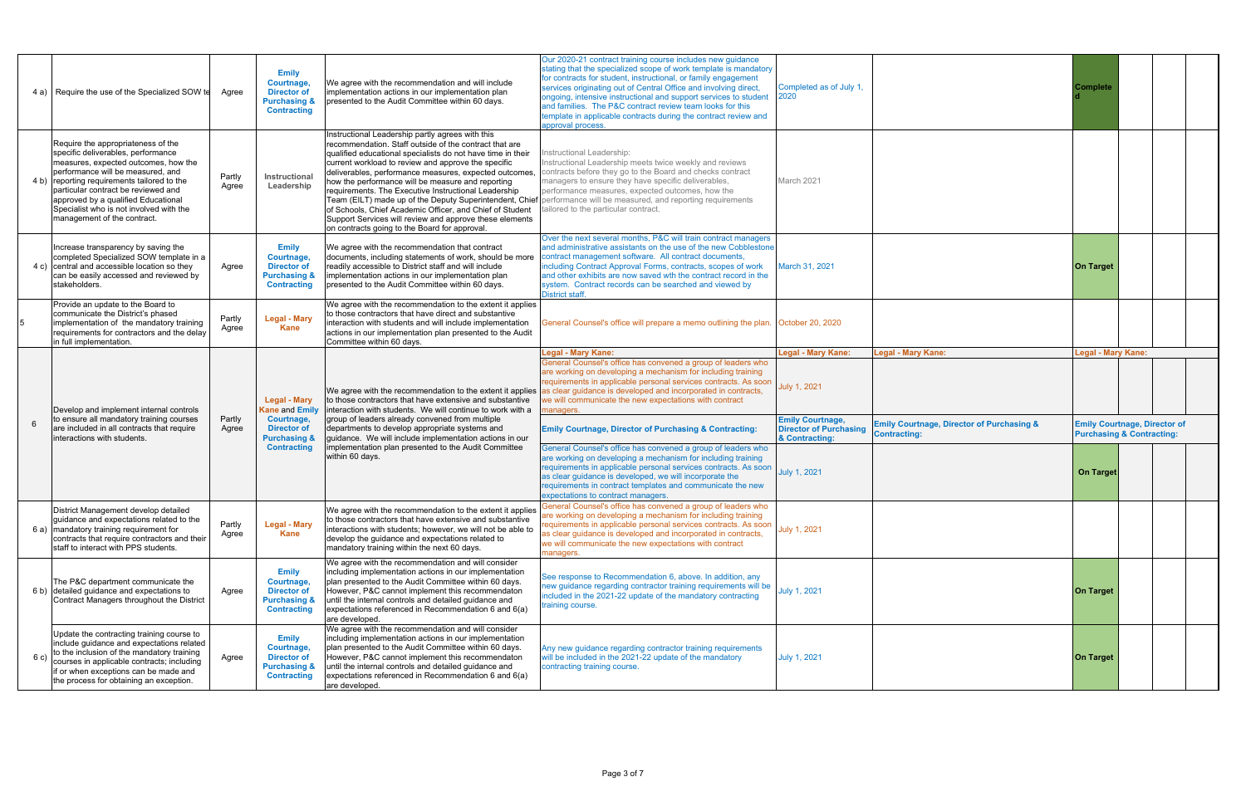|   | 4 a) Require the use of the Specialized SOW te                                                                                                                                                                                                                                                                                                               | Aaree           | <b>Emily</b><br>Courtnage,<br><b>Director of</b><br><b>Purchasing &amp;</b><br><b>Contracting</b> | We agree with the recommendation and will include<br>implementation actions in our implementation plan<br>presented to the Audit Committee within 60 days.                                                                                                                                                                                                                                                                                                                                                                                                                      | Our 2020-21 contract training course includes new quidance<br>stating that the specialized scope of work template is mandatory<br>for contracts for student, instructional, or family engagement<br>services originating out of Central Office and involving direct.<br>ongoing, intensive instructional and support services to student<br>and families. The P&C contract review team looks for this<br>template in applicable contracts during the contract review and<br>approval process. | Completed as of July 1.<br>2020                                            |                                                                             | Complete                  |                                                                             |
|---|--------------------------------------------------------------------------------------------------------------------------------------------------------------------------------------------------------------------------------------------------------------------------------------------------------------------------------------------------------------|-----------------|---------------------------------------------------------------------------------------------------|---------------------------------------------------------------------------------------------------------------------------------------------------------------------------------------------------------------------------------------------------------------------------------------------------------------------------------------------------------------------------------------------------------------------------------------------------------------------------------------------------------------------------------------------------------------------------------|-----------------------------------------------------------------------------------------------------------------------------------------------------------------------------------------------------------------------------------------------------------------------------------------------------------------------------------------------------------------------------------------------------------------------------------------------------------------------------------------------|----------------------------------------------------------------------------|-----------------------------------------------------------------------------|---------------------------|-----------------------------------------------------------------------------|
|   | Require the appropriateness of the<br>specific deliverables, performance<br>measures, expected outcomes, how the<br>performance will be measured, and<br>4 b) reporting requirements tailored to the<br>particular contract be reviewed and<br>approved by a qualified Educational<br>Specialist who is not involved with the<br>management of the contract. | Partly<br>Agree | Instructional<br>Leadership                                                                       | Instructional Leadership partly agrees with this<br>recommendation. Staff outside of the contract that are<br>qualified educational specialists do not have time in their<br>current workload to review and approve the specific<br>deliverables, performance measures, expected outcomes,<br>how the performance will be measure and reporting<br>requirements. The Executive Instructional Leadership<br>of Schools, Chief Academic Officer, and Chief of Student<br>Support Services will review and approve these elements<br>on contracts going to the Board for approval. | nstructional Leadership:<br>Instructional Leadership meets twice weekly and reviews<br>contracts before they go to the Board and checks contract<br>managers to ensure they have specific deliverables,<br>performance measures, expected outcomes, how the<br>Team (EILT) made up of the Deputy Superintendent, Chief performance will be measured, and reporting requirements<br>tailored to the particular contract.                                                                       | March 2021                                                                 |                                                                             |                           |                                                                             |
|   | Increase transparency by saving the<br>completed Specialized SOW template in a<br>4 c) central and accessible location so they<br>can be easily accessed and reviewed by<br>stakeholders.                                                                                                                                                                    | Agree           | <b>Emily</b><br>Courtnage,<br><b>Director of</b><br><b>Purchasing &amp;</b><br><b>Contracting</b> | We agree with the recommendation that contract<br>documents, including statements of work, should be more<br>readily accessible to District staff and will include<br>implementation actions in our implementation plan<br>presented to the Audit Committee within 60 days.                                                                                                                                                                                                                                                                                                     | Over the next several months, P&C will train contract managers<br>and administrative assistants on the use of the new Cobblestone<br>contract management software. All contract documents,<br>including Contract Approval Forms, contracts, scopes of work<br>and other exhibits are now saved wth the contract record in the<br>system. Contract records can be searched and viewed by<br>District staff.                                                                                    | March 31, 2021                                                             |                                                                             | <b>On Target</b>          |                                                                             |
|   | Provide an update to the Board to<br>communicate the District's phased<br>implementation of the mandatory training<br>requirements for contractors and the delay<br>in full implementation.                                                                                                                                                                  | Partly<br>Agree | <b>Legal - Mary</b><br><b>Kane</b>                                                                | We agree with the recommendation to the extent it applies<br>to those contractors that have direct and substantive<br>interaction with students and will include implementation<br>actions in our implementation plan presented to the Audit<br>Committee within 60 days.                                                                                                                                                                                                                                                                                                       | General Counsel's office will prepare a memo outlining the plan. October 20, 2020                                                                                                                                                                                                                                                                                                                                                                                                             |                                                                            |                                                                             |                           |                                                                             |
|   | Develop and implement internal controls<br>to ensure all mandatory training courses<br>are included in all contracts that require<br>interactions with students.                                                                                                                                                                                             |                 | Legal - Mary                                                                                      | We agree with the recommendation to the extent it applies<br>to those contractors that have extensive and substantive<br><b>Kane and Emily</b> interaction with students. We will continue to work with a<br>group of leaders already convened from multiple<br>departments to develop appropriate systems and<br>guidance. We will include implementation actions in our<br><b>Purchasing &amp;</b><br>implementation plan presented to the Audit Committee<br>within 60 days.                                                                                                 | <b>Legal - Mary Kane:</b><br>General Counsel's office has convened a group of leaders who<br>are working on developing a mechanism for including training<br>requirements in applicable personal services contracts. As soon<br>as clear guidance is developed and incorporated in contracts,<br>we will communicate the new expectations with contract<br>managers.                                                                                                                          | <b>Legal - Mary Kane:</b><br>July 1, 2021                                  | <b>Legal - Mary Kane:</b>                                                   | <b>Legal - Mary Kane:</b> |                                                                             |
| 6 |                                                                                                                                                                                                                                                                                                                                                              | Partly<br>Agree | Courtnage,<br><b>Director of</b>                                                                  |                                                                                                                                                                                                                                                                                                                                                                                                                                                                                                                                                                                 | <b>Emily Courtnage, Director of Purchasing &amp; Contracting:</b>                                                                                                                                                                                                                                                                                                                                                                                                                             | <b>Emily Courtnage,</b><br><b>Director of Purchasing</b><br>& Contracting: | <b>Emily Courtnage, Director of Purchasing &amp;</b><br><b>Contracting:</b> |                           | <b>Emily Courtnage, Director of</b><br><b>Purchasing &amp; Contracting:</b> |
|   |                                                                                                                                                                                                                                                                                                                                                              |                 | <b>Contracting</b>                                                                                |                                                                                                                                                                                                                                                                                                                                                                                                                                                                                                                                                                                 | General Counsel's office has convened a group of leaders who<br>are working on developing a mechanism for including training<br>requirements in applicable personal services contracts. As soon<br>as clear guidance is developed, we will incorporate the<br>requirements in contract templates and communicate the new<br>expectations to contract managers.                                                                                                                                | July 1, 2021                                                               |                                                                             | On Target                 |                                                                             |
|   | District Management develop detailed<br>guidance and expectations related to the<br>6 a)   mandatory training requirement for<br>contracts that require contractors and their<br>staff to interact with PPS students.                                                                                                                                        | Partly<br>Agree | <b>Legal - Mary</b><br>Kane                                                                       | We agree with the recommendation to the extent it applies<br>to those contractors that have extensive and substantive<br>interactions with students; however, we will not be able to<br>develop the guidance and expectations related to<br>mandatory training within the next 60 days.                                                                                                                                                                                                                                                                                         | General Counsel's office has convened a group of leaders who<br>are working on developing a mechanism for including training<br>requirements in applicable personal services contracts. As soon<br>as clear guidance is developed and incorporated in contracts,<br>we will communicate the new expectations with contract<br>managers.                                                                                                                                                       | July 1, 2021                                                               |                                                                             |                           |                                                                             |
|   | The P&C department communicate the<br>6 b) detailed guidance and expectations to<br>Contract Managers throughout the District                                                                                                                                                                                                                                | Agree           | <b>Emily</b><br>Courtnage,<br><b>Director of</b><br><b>Purchasing &amp;</b><br><b>Contracting</b> | We agree with the recommendation and will consider<br>including implementation actions in our implementation<br>plan presented to the Audit Committee within 60 days.<br>However, P&C cannot implement this recommendaton<br>until the internal controls and detailed guidance and<br>expectations referenced in Recommendation 6 and 6(a)<br>are developed.                                                                                                                                                                                                                    | See response to Recommendation 6, above. In addition, any<br>new guidance regarding contractor training requirements will be<br>included in the 2021-22 update of the mandatory contracting<br>raining course.                                                                                                                                                                                                                                                                                | July 1, 2021                                                               |                                                                             | <b>On Target</b>          |                                                                             |
|   | Update the contracting training course to<br>include guidance and expectations related<br>to the inclusion of the mandatory training<br>courses in applicable contracts; including<br>if or when exceptions can be made and                                                                                                                                  | Agree           | <b>Emily</b><br>Courtnage,<br><b>Director of</b><br><b>Purchasing &amp;</b>                       | We agree with the recommendation and will consider<br>including implementation actions in our implementation<br>plan presented to the Audit Committee within 60 days.<br>However, P&C cannot implement this recommendaton<br>until the internal controls and detailed guidance and                                                                                                                                                                                                                                                                                              | Any new guidance regarding contractor training requirements<br>will be included in the 2021-22 update of the mandatory<br>contracting training course.                                                                                                                                                                                                                                                                                                                                        | July 1, 2021                                                               |                                                                             | <b>On Target</b>          |                                                                             |
|   | the process for obtaining an exception.                                                                                                                                                                                                                                                                                                                      |                 | <b>Contracting</b>                                                                                | expectations referenced in Recommendation 6 and 6(a)<br>are developed.                                                                                                                                                                                                                                                                                                                                                                                                                                                                                                          |                                                                                                                                                                                                                                                                                                                                                                                                                                                                                               |                                                                            |                                                                             |                           |                                                                             |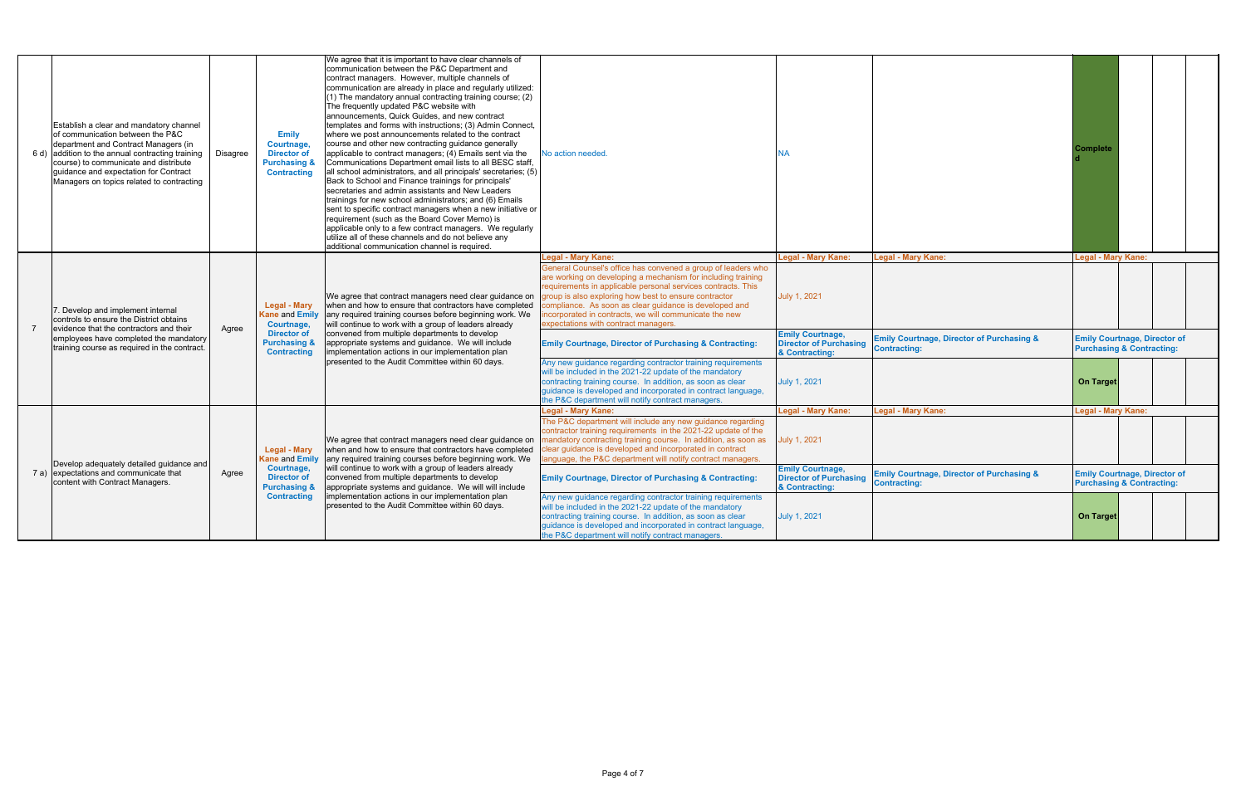|  | Establish a clear and mandatory channel<br>of communication between the P&C<br>department and Contract Managers (in<br>6 d) addition to the annual contracting training<br>course) to communicate and distribute<br>quidance and expectation for Contract<br>Managers on topics related to contracting | <b>Disagree</b> | <b>Emily</b><br>Courtnage.<br><b>Director of</b><br><b>Purchasing &amp;</b><br><b>Contracting</b> | We agree that it is important to have clear channels of<br>communication between the P&C Department and<br>contract managers. However, multiple channels of<br>communication are already in place and regularly utilized:<br>(1) The mandatory annual contracting training course; (2)<br>The frequently updated P&C website with<br>announcements, Quick Guides, and new contract<br>templates and forms with instructions; (3) Admin Connect,<br>where we post announcements related to the contract<br>course and other new contracting quidance generally<br>applicable to contract managers; (4) Emails sent via the<br>Communications Department email lists to all BESC staff.<br>all school administrators, and all principals' secretaries; (5)<br>Back to School and Finance trainings for principals'<br>secretaries and admin assistants and New Leaders<br>trainings for new school administrators; and (6) Emails<br>sent to specific contract managers when a new initiative or<br>requirement (such as the Board Cover Memo) is<br>applicable only to a few contract managers. We regularly<br>utilize all of these channels and do not believe any<br>additional communication channel is required. | No action needed                                                                                                                                                                                                                                                                                                                                                                                                                               | NA                                                                         |                                                                                   | Complete                                                                    |
|--|--------------------------------------------------------------------------------------------------------------------------------------------------------------------------------------------------------------------------------------------------------------------------------------------------------|-----------------|---------------------------------------------------------------------------------------------------|----------------------------------------------------------------------------------------------------------------------------------------------------------------------------------------------------------------------------------------------------------------------------------------------------------------------------------------------------------------------------------------------------------------------------------------------------------------------------------------------------------------------------------------------------------------------------------------------------------------------------------------------------------------------------------------------------------------------------------------------------------------------------------------------------------------------------------------------------------------------------------------------------------------------------------------------------------------------------------------------------------------------------------------------------------------------------------------------------------------------------------------------------------------------------------------------------------------------|------------------------------------------------------------------------------------------------------------------------------------------------------------------------------------------------------------------------------------------------------------------------------------------------------------------------------------------------------------------------------------------------------------------------------------------------|----------------------------------------------------------------------------|-----------------------------------------------------------------------------------|-----------------------------------------------------------------------------|
|  | . Develop and implement internal<br>controls to ensure the District obtains<br>evidence that the contractors and their<br>employees have completed the mandatory<br>training course as required in the contract.                                                                                       | Agree           | <b>Legal - Mary</b><br>Kane and Emily<br>Courtnage,<br><b>Director of</b>                         | We agree that contract managers need clear guidance on<br>when and how to ensure that contractors have completed<br>any required training courses before beginning work. We<br>will continue to work with a group of leaders already<br>convened from multiple departments to develop<br>appropriate systems and quidance. We will include<br>implementation actions in our implementation plan<br>presented to the Audit Committee within 60 days.                                                                                                                                                                                                                                                                                                                                                                                                                                                                                                                                                                                                                                                                                                                                                                  | <b>Legal - Mary Kane:</b><br>General Counsel's office has convened a group of leaders who<br>are working on developing a mechanism for including training<br>requirements in applicable personal services contracts. This<br>group is also exploring how best to ensure contractor<br>compliance. As soon as clear guidance is developed and<br>incorporated in contracts, we will communicate the new<br>expectations with contract managers. | <b>Legal - Mary Kane:</b><br>July 1, 2021<br><b>Emily Courtnage,</b>       | <b>Legal - Mary Kane:</b><br><b>Emily Courtnage, Director of Purchasing &amp;</b> | <b>Legal - Mary Kane:</b><br><b>Emily Courtnage, Director of</b>            |
|  |                                                                                                                                                                                                                                                                                                        |                 | <b>Purchasing &amp;</b><br><b>Contracting</b>                                                     |                                                                                                                                                                                                                                                                                                                                                                                                                                                                                                                                                                                                                                                                                                                                                                                                                                                                                                                                                                                                                                                                                                                                                                                                                      | <b>Emily Courtnage, Director of Purchasing &amp; Contracting:</b><br>Any new guidance regarding contractor training requirements<br>will be included in the 2021-22 update of the mandatory<br>contracting training course. In addition, as soon as clear<br>guidance is developed and incorporated in contract language,<br>the P&C department will notify contract managers.                                                                 | <b>Director of Purchasing</b><br>& Contracting:<br>July 1, 2021            | <b>Contracting:</b>                                                               | <b>Purchasing &amp; Contracting:</b><br><b>On Target</b>                    |
|  |                                                                                                                                                                                                                                                                                                        |                 | Legal - Mary<br><b>Kane and Emily</b>                                                             | We agree that contract managers need clear guidance on<br>when and how to ensure that contractors have completed<br>any required training courses before beginning work. We<br>will continue to work with a group of leaders already<br>convened from multiple departments to develop<br>appropriate systems and guidance. We will will include<br>implementation actions in our implementation plan<br>presented to the Audit Committee within 60 days.                                                                                                                                                                                                                                                                                                                                                                                                                                                                                                                                                                                                                                                                                                                                                             | <b>Legal - Mary Kane:</b><br>The P&C department will include any new quidance regarding<br>contractor training requirements in the 2021-22 update of the<br>mandatory contracting training course. In addition, as soon as<br>clear guidance is developed and incorporated in contract<br>language, the P&C department will notify contract managers                                                                                           | <b>Legal - Mary Kane:</b><br>July 1, 2021                                  | <b>Legal - Mary Kane:</b>                                                         | <b>Legal - Mary Kane:</b>                                                   |
|  | Develop adequately detailed quidance and<br>7 a) expectations and communicate that<br>content with Contract Managers.                                                                                                                                                                                  | Agree           | Courtnage,<br><b>Director of</b><br><b>Purchasing &amp;</b><br><b>Contracting</b>                 |                                                                                                                                                                                                                                                                                                                                                                                                                                                                                                                                                                                                                                                                                                                                                                                                                                                                                                                                                                                                                                                                                                                                                                                                                      | <b>Emily Courtnage, Director of Purchasing &amp; Contracting:</b>                                                                                                                                                                                                                                                                                                                                                                              | <b>Emily Courtnage,</b><br><b>Director of Purchasing</b><br>& Contracting: | <b>Emily Courtnage, Director of Purchasing &amp;</b><br><b>Contracting:</b>       | <b>Emily Courtnage, Director of</b><br><b>Purchasing &amp; Contracting:</b> |
|  |                                                                                                                                                                                                                                                                                                        |                 |                                                                                                   |                                                                                                                                                                                                                                                                                                                                                                                                                                                                                                                                                                                                                                                                                                                                                                                                                                                                                                                                                                                                                                                                                                                                                                                                                      | Any new guidance regarding contractor training requirements<br>will be included in the 2021-22 update of the mandatory<br>contracting training course. In addition, as soon as clear<br>quidance is developed and incorporated in contract language,<br>the P&C department will notify contract managers.                                                                                                                                      | July 1, 2021                                                               |                                                                                   | <b>On Target</b>                                                            |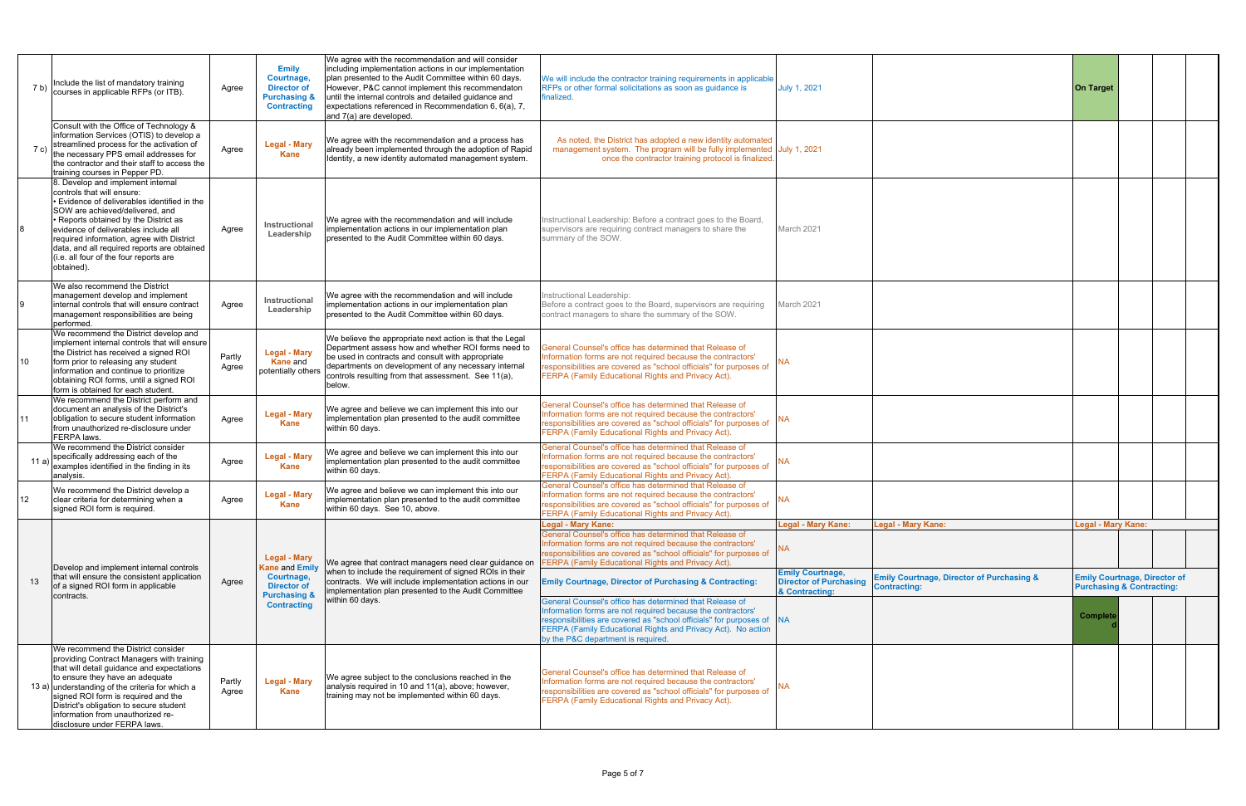| 7 b)           | Include the list of mandatory training<br>courses in applicable RFPs (or ITB).                                                                                                                                                                                                                                                                                                          | Agree           | <b>Emily</b><br>Courtnage,<br><b>Director of</b><br><b>Purchasing &amp;</b><br><b>Contracting</b> | We agree with the recommendation and will consider<br>including implementation actions in our implementation<br>plan presented to the Audit Committee within 60 days.<br>However, P&C cannot implement this recommendaton<br>until the internal controls and detailed guidance and<br>expectations referenced in Recommendation 6, 6(a), 7,<br>and 7(a) are developed. | We will include the contractor training requirements in applicable<br>RFPs or other formal solicitations as soon as quidance is<br>finalized.                                                                                                                                   | July 1, 2021                                                               |                                                                             | <b>On Target</b>                                                            |  |
|----------------|-----------------------------------------------------------------------------------------------------------------------------------------------------------------------------------------------------------------------------------------------------------------------------------------------------------------------------------------------------------------------------------------|-----------------|---------------------------------------------------------------------------------------------------|------------------------------------------------------------------------------------------------------------------------------------------------------------------------------------------------------------------------------------------------------------------------------------------------------------------------------------------------------------------------|---------------------------------------------------------------------------------------------------------------------------------------------------------------------------------------------------------------------------------------------------------------------------------|----------------------------------------------------------------------------|-----------------------------------------------------------------------------|-----------------------------------------------------------------------------|--|
| 7 <sub>c</sub> | Consult with the Office of Technology &<br>information Services (OTIS) to develop a<br>streamlined process for the activation of<br>the necessary PPS email addresses for<br>the contractor and their staff to access the<br>training courses in Pepper PD.                                                                                                                             | Agree           | <b>Legal - Mary</b><br><b>Kane</b>                                                                | We agree with the recommendation and a process has<br>already been implemented through the adoption of Rapid<br>Identity, a new identity automated management system.                                                                                                                                                                                                  | As noted, the District has adopted a new identity automated<br>management system. The program will be fully implemented July 1, 2021<br>once the contractor training protocol is finalized.                                                                                     |                                                                            |                                                                             |                                                                             |  |
|                | 8. Develop and implement internal<br>controls that will ensure:<br>• Evidence of deliverables identified in the<br>SOW are achieved/delivered, and<br>• Reports obtained by the District as<br>evidence of deliverables include all<br>required information, agree with District<br>data, and all required reports are obtained<br>(i.e. all four of the four reports are<br>obtained). | Agree           | <b>Instructional</b><br>Leadership                                                                | We agree with the recommendation and will include<br>implementation actions in our implementation plan<br>presented to the Audit Committee within 60 days.                                                                                                                                                                                                             | Instructional Leadership: Before a contract goes to the Board,<br>supervisors are requiring contract managers to share the<br>summary of the SOW.                                                                                                                               | March 2021                                                                 |                                                                             |                                                                             |  |
|                | We also recommend the District<br>management develop and implement<br>internal controls that will ensure contract<br>management responsibilities are being<br>performed.                                                                                                                                                                                                                | Agree           | Instructional<br>Leadership                                                                       | We agree with the recommendation and will include<br>implementation actions in our implementation plan<br>presented to the Audit Committee within 60 days.                                                                                                                                                                                                             | nstructional Leadership:<br>Before a contract goes to the Board, supervisors are requiring<br>contract managers to share the summary of the SOW.                                                                                                                                | March 2021                                                                 |                                                                             |                                                                             |  |
| 10             | We recommend the District develop and<br>implement internal controls that will ensure<br>the District has received a signed ROI<br>form prior to releasing any student<br>information and continue to prioritize<br>obtaining ROI forms, until a signed ROI<br>form is obtained for each student.                                                                                       | Partly<br>Agree | <b>Legal - Mary</b><br><b>Kane and</b><br>potentially others                                      | We believe the appropriate next action is that the Legal<br>Department assess how and whether ROI forms need to<br>be used in contracts and consult with appropriate<br>departments on development of any necessary internal<br>controls resulting from that assessment. See 11(a),<br>below.                                                                          | General Counsel's office has determined that Release of<br>Information forms are not required because the contractors'<br>responsibilities are covered as "school officials" for purposes of<br>FERPA (Family Educational Rights and Privacy Act).                              |                                                                            |                                                                             |                                                                             |  |
|                | We recommend the District perform and<br>document an analysis of the District's<br>obligation to secure student information<br>from unauthorized re-disclosure under<br>FERPA laws.                                                                                                                                                                                                     | Agree           | <b>Legal - Mary</b><br><b>Kane</b>                                                                | We agree and believe we can implement this into our<br>implementation plan presented to the audit committee<br>within 60 days.                                                                                                                                                                                                                                         | General Counsel's office has determined that Release of<br>Information forms are not required because the contractors'<br>responsibilities are covered as "school officials" for purposes of<br>FERPA (Family Educational Rights and Privacy Act).                              | <b>NA</b>                                                                  |                                                                             |                                                                             |  |
| 11 a           | We recommend the District consider<br>specifically addressing each of the<br>examples identified in the finding in its<br>analysis.                                                                                                                                                                                                                                                     | Agree           | <b>Legal - Mary</b><br><b>Kane</b>                                                                | We agree and believe we can implement this into our<br>implementation plan presented to the audit committee<br>within 60 days.                                                                                                                                                                                                                                         | General Counsel's office has determined that Release of<br>Information forms are not required because the contractors'<br>responsibilities are covered as "school officials" for purposes of<br>FERPA (Family Educational Rights and Privacy Act).                              | <b>NA</b>                                                                  |                                                                             |                                                                             |  |
| 12             | We recommend the District develop a<br>clear criteria for determining when a<br>signed ROI form is required.                                                                                                                                                                                                                                                                            | Agree           | <b>Legal - Mary</b><br><b>Kane</b>                                                                | We agree and believe we can implement this into our<br>implementation plan presented to the audit committee<br>within 60 days. See 10, above.                                                                                                                                                                                                                          | General Counsel's office has determined that Release of<br>Information forms are not required because the contractors'<br>responsibilities are covered as "school officials" for purposes of<br>FERPA (Family Educational Rights and Privacy Act).                              | <b>NA</b>                                                                  |                                                                             |                                                                             |  |
|                | Develop and implement internal controls                                                                                                                                                                                                                                                                                                                                                 |                 | <b>Legal - Mary</b><br><b>Kane and Emily</b>                                                      | We agree that contract managers need clear guidance on                                                                                                                                                                                                                                                                                                                 | <b>Legal - Mary Kane:</b><br>General Counsel's office has determined that Release of<br>Information forms are not required because the contractors'<br>responsibilities are covered as "school officials" for purposes of<br>FERPA (Family Educational Rights and Privacy Act). | <b>Legal - Mary Kane:</b><br>NA.                                           | <b>Legal - Mary Kane:</b>                                                   | <b>Legal - Mary Kane:</b>                                                   |  |
| 13             | that will ensure the consistent application<br>of a signed ROI form in applicable                                                                                                                                                                                                                                                                                                       | Agree           | Courtnage,<br><b>Director of</b>                                                                  | when to include the requirement of signed ROIs in their<br>contracts. We will include implementation actions in our<br>implementation plan presented to the Audit Committee                                                                                                                                                                                            | <b>Emily Courtnage, Director of Purchasing &amp; Contracting:</b>                                                                                                                                                                                                               | <b>Emily Courtnage,</b><br><b>Director of Purchasing</b><br>& Contracting: | <b>Emily Courtnage, Director of Purchasing &amp;</b><br><b>Contracting:</b> | <b>Emily Courtnage, Director of</b><br><b>Purchasing &amp; Contracting:</b> |  |
|                | contracts.                                                                                                                                                                                                                                                                                                                                                                              |                 | <b>Purchasing &amp;</b><br>within 60 days.<br><b>Contracting</b>                                  | General Counsel's office has determined that Release of<br>Information forms are not required because the contractors'<br>responsibilities are covered as "school officials" for purposes of NA<br>FERPA (Family Educational Rights and Privacy Act). No action<br>by the P&C department is required.                                                                  |                                                                                                                                                                                                                                                                                 |                                                                            | <b>Complet</b>                                                              |                                                                             |  |
|                | We recommend the District consider<br>providing Contract Managers with training<br>that will detail guidance and expectations<br>to ensure they have an adequate<br>13 a) understanding of the criteria for which a<br>signed ROI form is required and the<br>District's obligation to secure student<br>information from unauthorized re-<br>disclosure under FERPA laws.              | Partly<br>Agree | <b>Legal - Mary</b><br><b>Kane</b>                                                                | We agree subject to the conclusions reached in the<br>analysis required in 10 and 11(a), above; however,<br>training may not be implemented within 60 days.                                                                                                                                                                                                            | General Counsel's office has determined that Release of<br>Information forms are not required because the contractors'<br>responsibilities are covered as "school officials" for purposes of<br>FERPA (Family Educational Rights and Privacy Act).                              | <b>NA</b>                                                                  |                                                                             |                                                                             |  |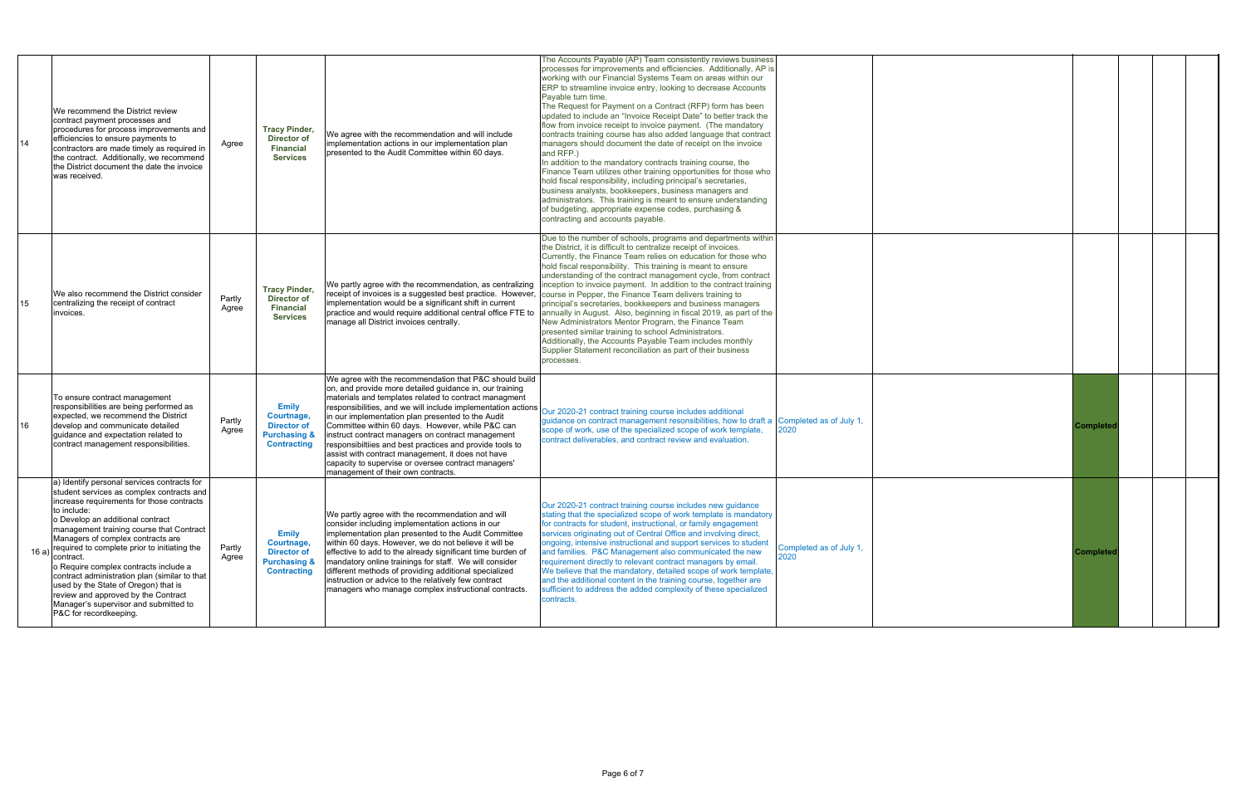| 14    | We recommend the District review<br>contract payment processes and<br>procedures for process improvements and<br>efficiencies to ensure payments to<br>contractors are made timely as required in<br>the contract. Additionally, we recommend<br>the District document the date the invoice<br>was received                                                                                                                                                                                                                                                                        | Agree           | <b>Tracy Pinder,</b><br><b>Director of</b><br><b>Financial</b><br><b>Services</b>                 | We agree with the recommendation and will include<br>implementation actions in our implementation plan<br>presented to the Audit Committee within 60 days.                                                                                                                                                                                                                                                                                                                                                                                                                                                             | The Accounts Payable (AP) Team consistently reviews business<br>processes for improvements and efficiencies. Additionally, AP is<br>working with our Financial Systems Team on areas within our<br>ERP to streamline invoice entry, looking to decrease Accounts<br>Payable turn time.<br>The Request for Payment on a Contract (RFP) form has been<br>updated to include an "Invoice Receipt Date" to better track the<br>flow from invoice receipt to invoice payment. (The mandatory<br>contracts training course has also added language that contract<br>managers should document the date of receipt on the invoice<br>and RFP.)<br>In addition to the mandatory contracts training course, the<br>Finance Team utilizes other training opportunities for those who<br>hold fiscal responsibility, including principal's secretaries,<br>business analysts, bookkeepers, business managers and                                               |                                 |                 |  |
|-------|------------------------------------------------------------------------------------------------------------------------------------------------------------------------------------------------------------------------------------------------------------------------------------------------------------------------------------------------------------------------------------------------------------------------------------------------------------------------------------------------------------------------------------------------------------------------------------|-----------------|---------------------------------------------------------------------------------------------------|------------------------------------------------------------------------------------------------------------------------------------------------------------------------------------------------------------------------------------------------------------------------------------------------------------------------------------------------------------------------------------------------------------------------------------------------------------------------------------------------------------------------------------------------------------------------------------------------------------------------|----------------------------------------------------------------------------------------------------------------------------------------------------------------------------------------------------------------------------------------------------------------------------------------------------------------------------------------------------------------------------------------------------------------------------------------------------------------------------------------------------------------------------------------------------------------------------------------------------------------------------------------------------------------------------------------------------------------------------------------------------------------------------------------------------------------------------------------------------------------------------------------------------------------------------------------------------|---------------------------------|-----------------|--|
| 15    | We also recommend the District consider<br>centralizing the receipt of contract<br>invoices.                                                                                                                                                                                                                                                                                                                                                                                                                                                                                       | Partly<br>Agree | <b>Tracy Pinder,</b><br><b>Director of</b><br><b>Financial</b><br><b>Services</b>                 | We partly agree with the recommendation, as centralizing<br>receipt of invoices is a suggested best practice. However,<br>implementation would be a significant shift in current<br>practice and would require additional central office FTE to<br>manage all District invoices centrally.                                                                                                                                                                                                                                                                                                                             | administrators. This training is meant to ensure understanding<br>of budgeting, appropriate expense codes, purchasing &<br>contracting and accounts payable.<br>Due to the number of schools, programs and departments within<br>the District, it is difficult to centralize receipt of invoices<br>Currently, the Finance Team relies on education for those who<br>hold fiscal responsibility. This training is meant to ensure<br>understanding of the contract management cycle, from contract<br>inception to invoice payment. In addition to the contract training<br>course in Pepper, the Finance Team delivers training to<br>principal's secretaries, bookkeepers and business managers<br>annually in August. Also, beginning in fiscal 2019, as part of the<br>New Administrators Mentor Program, the Finance Team<br>presented similar training to school Administrators.<br>Additionally, the Accounts Payable Team includes monthly |                                 |                 |  |
| 16    | To ensure contract management<br>responsibilities are being performed as<br>expected, we recommend the District<br>develop and communicate detailed<br>guidance and expectation related to<br>contract management responsibilities.                                                                                                                                                                                                                                                                                                                                                | Partly<br>Agree | <b>Emily</b><br>Courtnage,<br><b>Director of</b><br><b>Purchasing &amp;</b><br><b>Contracting</b> | We agree with the recommendation that P&C should build<br>on, and provide more detailed guidance in, our training<br>materials and templates related to contract managment<br>responsibilities, and we will include implementation actions<br>in our implementation plan presented to the Audit<br>Committee within 60 days. However, while P&C can<br>instruct contract managers on contract management<br>responsibilities and best practices and provide tools to<br>assist with contract management, it does not have<br>capacity to supervise or oversee contract managers'<br>management of their own contracts. | Supplier Statement reconciliation as part of their business<br>processes.<br>Our 2020-21 contract training course includes additional<br>guidance on contract management resonsibilities, how to draft a Completed as of July 1,<br>scope of work, use of the specialized scope of work template,<br>contract deliverables, and contract review and evaluation.                                                                                                                                                                                                                                                                                                                                                                                                                                                                                                                                                                                    | 2020                            | Complete        |  |
| 16 a) | a) Identify personal services contracts for<br>student services as complex contracts and<br>increase requirements for those contracts<br>to include:<br>o Develop an additional contract<br>management training course that Contract<br>Managers of complex contracts are<br>required to complete prior to initiating the<br>contract.<br>o Require complex contracts include a<br>contract administration plan (similar to that<br>used by the State of Oregon) that is<br>review and approved by the Contract<br>Manager's supervisor and submitted to<br>P&C for recordkeeping. | Partly<br>Agree | <b>Emily</b><br>Courtnage,<br><b>Director of</b><br><b>Purchasing &amp;</b><br><b>Contracting</b> | We partly agree with the recommendation and will<br>consider including implementation actions in our<br>implementation plan presented to the Audit Committee<br>within 60 days. However, we do not believe it will be<br>effective to add to the already significant time burden of<br>mandatory online trainings for staff. We will consider<br>different methods of providing additional specialized<br>instruction or advice to the relatively few contract<br>managers who manage complex instructional contracts.                                                                                                 | Our 2020-21 contract training course includes new guidance<br>stating that the specialized scope of work template is mandatory<br>for contracts for student, instructional, or family engagement<br>services originating out of Central Office and involving direct,<br>ongoing, intensive instructional and support services to student<br>and families. P&C Management also communicated the new<br>requirement directly to relevant contract managers by email.<br>We believe that the mandatory, detailed scope of work template,<br>and the additional content in the training course, together are<br>sufficient to address the added complexity of these specialized<br>contracts.                                                                                                                                                                                                                                                          | Completed as of July 1,<br>2020 | <b>Complete</b> |  |